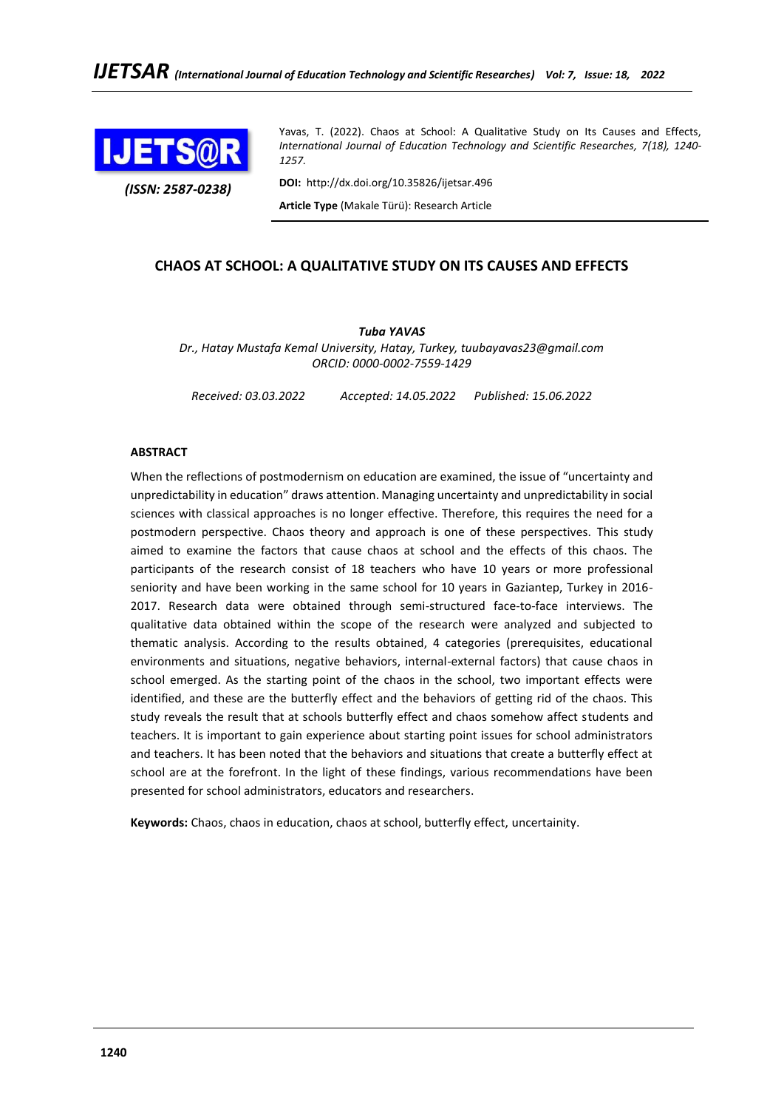

*(ISSN: 2587-0238)*

Yavas, T. (2022). Chaos at School: A Qualitative Study on Its Causes and Effects, *International Journal of Education Technology and Scientific Researches, 7(18), 1240- 1257.*

**DOI:** http://dx.doi.org/10.35826/ijetsar.496 **Article Type** (Makale Türü): Research Article

# **CHAOS AT SCHOOL: A QUALITATIVE STUDY ON ITS CAUSES AND EFFECTS**

*Tuba YAVAS Dr., Hatay Mustafa Kemal University, Hatay, Turkey, tuubayavas23@gmail.com ORCID: 0000-0002-7559-1429*

*Received: 03.03.2022 Accepted: 14.05.2022 Published: 15.06.2022*

### **ABSTRACT**

When the reflections of postmodernism on education are examined, the issue of "uncertainty and unpredictability in education" draws attention. Managing uncertainty and unpredictability in social sciences with classical approaches is no longer effective. Therefore, this requires the need for a postmodern perspective. Chaos theory and approach is one of these perspectives. This study aimed to examine the factors that cause chaos at school and the effects of this chaos. The participants of the research consist of 18 teachers who have 10 years or more professional seniority and have been working in the same school for 10 years in Gaziantep, Turkey in 2016- 2017. Research data were obtained through semi-structured face-to-face interviews. The qualitative data obtained within the scope of the research were analyzed and subjected to thematic analysis. According to the results obtained, 4 categories (prerequisites, educational environments and situations, negative behaviors, internal-external factors) that cause chaos in school emerged. As the starting point of the chaos in the school, two important effects were identified, and these are the butterfly effect and the behaviors of getting rid of the chaos. This study reveals the result that at schools butterfly effect and chaos somehow affect students and teachers. It is important to gain experience about starting point issues for school administrators and teachers. It has been noted that the behaviors and situations that create a butterfly effect at school are at the forefront. In the light of these findings, various recommendations have been presented for school administrators, educators and researchers.

**Keywords:** Chaos, chaos in education, chaos at school, butterfly effect, uncertainity.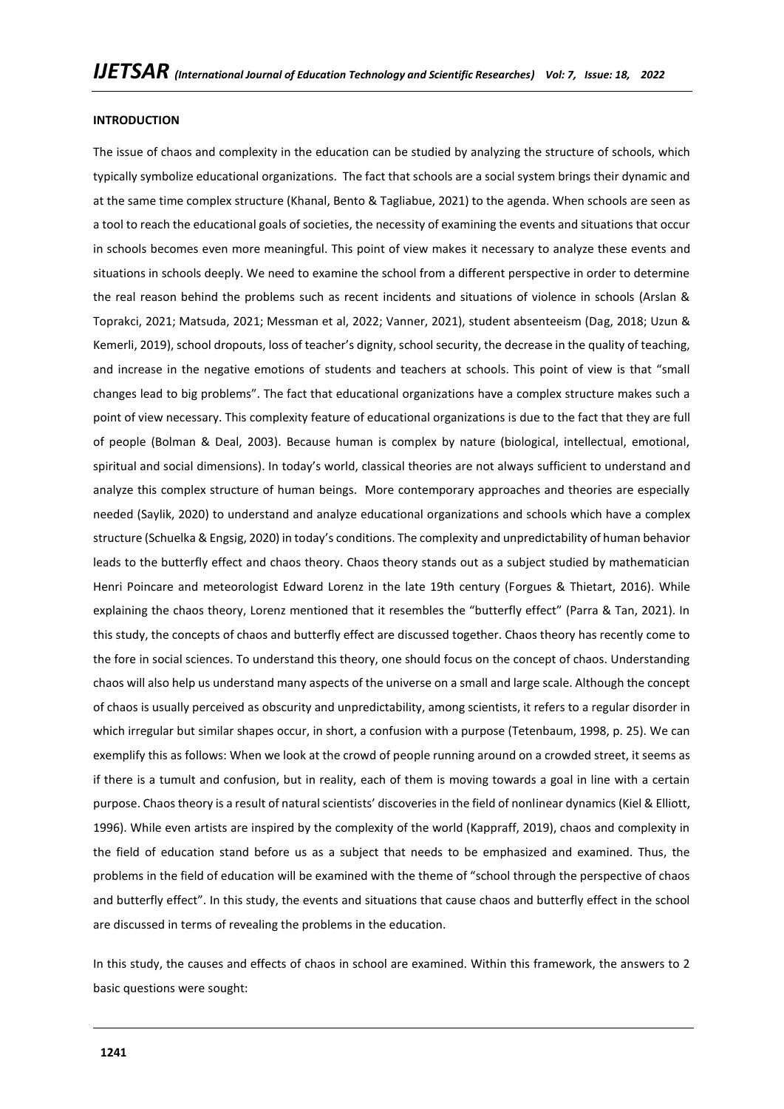#### **INTRODUCTION**

The issue of chaos and complexity in the education can be studied by analyzing the structure of schools, which typically symbolize educational organizations. The fact that schools are a social system brings their dynamic and at the same time complex structure (Khanal, Bento & Tagliabue, 2021) to the agenda. When schools are seen as a tool to reach the educational goals of societies, the necessity of examining the events and situations that occur in schools becomes even more meaningful. This point of view makes it necessary to analyze these events and situations in schools deeply. We need to examine the school from a different perspective in order to determine the real reason behind the problems such as recent incidents and situations of violence in schools (Arslan & Toprakci, 2021; Matsuda, 2021; Messman et al, 2022; Vanner, 2021), student absenteeism (Dag, 2018; Uzun & Kemerli, 2019), school dropouts, loss of teacher's dignity, school security, the decrease in the quality of teaching, and increase in the negative emotions of students and teachers at schools. This point of view is that "small changes lead to big problems". The fact that educational organizations have a complex structure makes such a point of view necessary. This complexity feature of educational organizations is due to the fact that they are full of people (Bolman & Deal, 2003). Because human is complex by nature (biological, intellectual, emotional, spiritual and social dimensions). In today's world, classical theories are not always sufficient to understand and analyze this complex structure of human beings. More contemporary approaches and theories are especially needed (Saylik, 2020) to understand and analyze educational organizations and schools which have a complex structure (Schuelka & Engsig, 2020) in today's conditions. The complexity and unpredictability of human behavior leads to the butterfly effect and chaos theory. Chaos theory stands out as a subject studied by mathematician Henri Poincare and meteorologist Edward Lorenz in the late 19th century (Forgues & Thietart, 2016). While explaining the chaos theory, Lorenz mentioned that it resembles the "butterfly effect" (Parra & Tan, 2021). In this study, the concepts of chaos and butterfly effect are discussed together. Chaos theory has recently come to the fore in social sciences. To understand this theory, one should focus on the concept of chaos. Understanding chaos will also help us understand many aspects of the universe on a small and large scale. Although the concept of chaos is usually perceived as obscurity and unpredictability, among scientists, it refers to a regular disorder in which irregular but similar shapes occur, in short, a confusion with a purpose (Tetenbaum, 1998, p. 25). We can exemplify this as follows: When we look at the crowd of people running around on a crowded street, it seems as if there is a tumult and confusion, but in reality, each of them is moving towards a goal in line with a certain purpose. Chaos theory is a result of natural scientists' discoveries in the field of nonlinear dynamics (Kiel & Elliott, 1996). While even artists are inspired by the complexity of the world (Kappraff, 2019), chaos and complexity in the field of education stand before us as a subject that needs to be emphasized and examined. Thus, the problems in the field of education will be examined with the theme of "school through the perspective of chaos and butterfly effect". In this study, the events and situations that cause chaos and butterfly effect in the school are discussed in terms of revealing the problems in the education.

In this study, the causes and effects of chaos in school are examined. Within this framework, the answers to 2 basic questions were sought: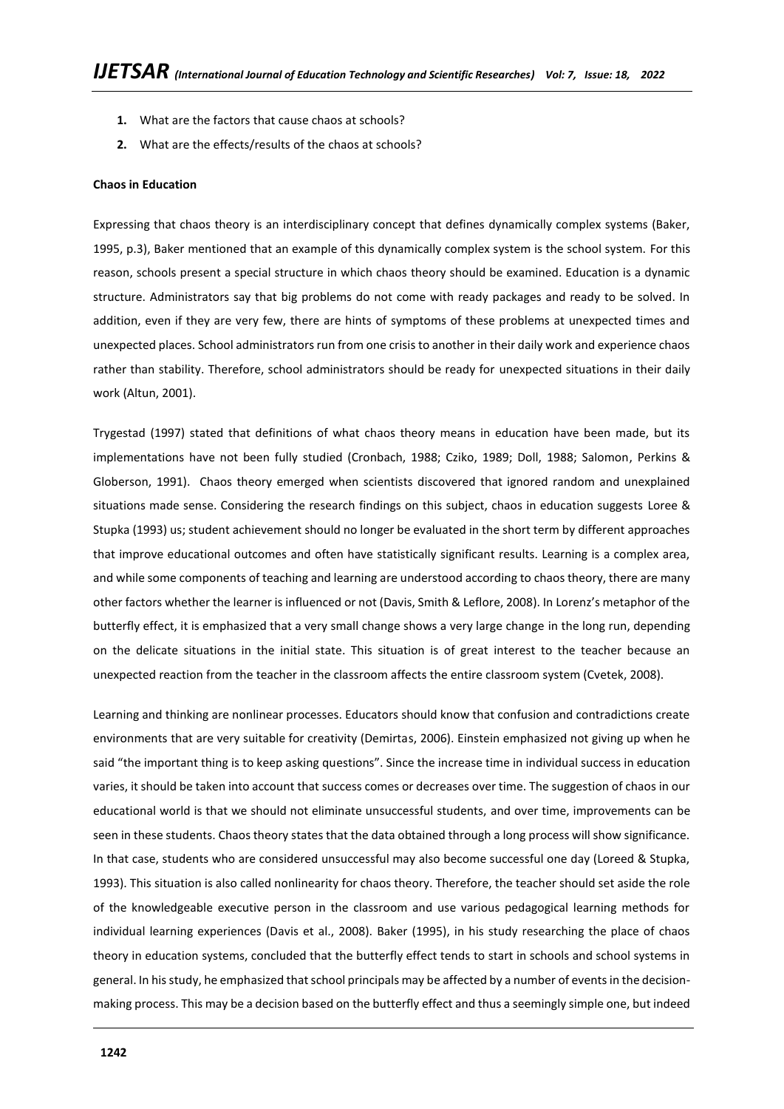- **1.** What are the factors that cause chaos at schools?
- **2.** What are the effects/results of the chaos at schools?

#### **Chaos in Education**

Expressing that chaos theory is an interdisciplinary concept that defines dynamically complex systems (Baker, 1995, p.3), Baker mentioned that an example of this dynamically complex system is the school system. For this reason, schools present a special structure in which chaos theory should be examined. Education is a dynamic structure. Administrators say that big problems do not come with ready packages and ready to be solved. In addition, even if they are very few, there are hints of symptoms of these problems at unexpected times and unexpected places. School administrators run from one crisis to another in their daily work and experience chaos rather than stability. Therefore, school administrators should be ready for unexpected situations in their daily work (Altun, 2001).

Trygestad (1997) stated that definitions of what chaos theory means in education have been made, but its implementations have not been fully studied (Cronbach, 1988; Cziko, 1989; Doll, 1988; Salomon, Perkins & Globerson, 1991). Chaos theory emerged when scientists discovered that ignored random and unexplained situations made sense. Considering the research findings on this subject, chaos in education suggests Loree & Stupka (1993) us; student achievement should no longer be evaluated in the short term by different approaches that improve educational outcomes and often have statistically significant results. Learning is a complex area, and while some components of teaching and learning are understood according to chaos theory, there are many other factors whether the learner is influenced or not (Davis, Smith & Leflore, 2008). In Lorenz's metaphor of the butterfly effect, it is emphasized that a very small change shows a very large change in the long run, depending on the delicate situations in the initial state. This situation is of great interest to the teacher because an unexpected reaction from the teacher in the classroom affects the entire classroom system (Cvetek, 2008).

Learning and thinking are nonlinear processes. Educators should know that confusion and contradictions create environments that are very suitable for creativity (Demirtas, 2006). Einstein emphasized not giving up when he said "the important thing is to keep asking questions". Since the increase time in individual success in education varies, it should be taken into account that success comes or decreases over time. The suggestion of chaos in our educational world is that we should not eliminate unsuccessful students, and over time, improvements can be seen in these students. Chaos theory states that the data obtained through a long process will show significance. In that case, students who are considered unsuccessful may also become successful one day (Loreed & Stupka, 1993). This situation is also called nonlinearity for chaos theory. Therefore, the teacher should set aside the role of the knowledgeable executive person in the classroom and use various pedagogical learning methods for individual learning experiences (Davis et al., 2008). Baker (1995), in his study researching the place of chaos theory in education systems, concluded that the butterfly effect tends to start in schools and school systems in general. In his study, he emphasized that school principals may be affected by a number of events in the decisionmaking process. This may be a decision based on the butterfly effect and thus a seemingly simple one, but indeed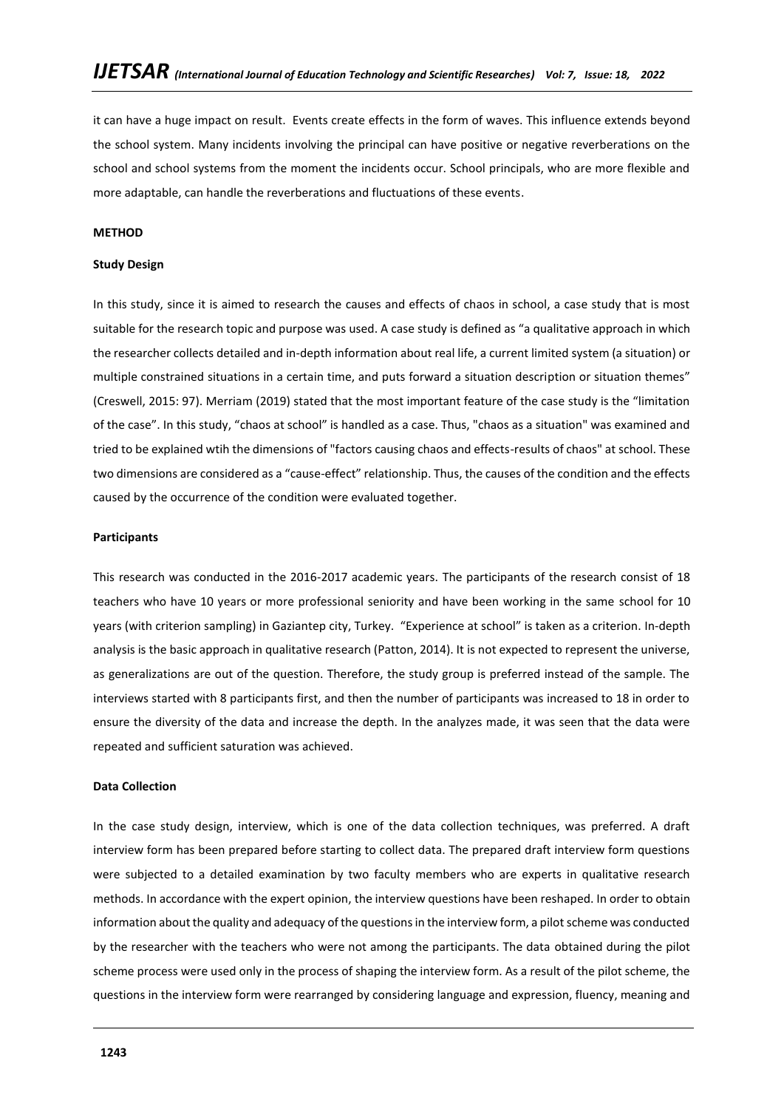it can have a huge impact on result. Events create effects in the form of waves. This influence extends beyond the school system. Many incidents involving the principal can have positive or negative reverberations on the school and school systems from the moment the incidents occur. School principals, who are more flexible and more adaptable, can handle the reverberations and fluctuations of these events.

#### **METHOD**

### **Study Design**

In this study, since it is aimed to research the causes and effects of chaos in school, a case study that is most suitable for the research topic and purpose was used. A case study is defined as "a qualitative approach in which the researcher collects detailed and in-depth information about real life, a current limited system (a situation) or multiple constrained situations in a certain time, and puts forward a situation description or situation themes" (Creswell, 2015: 97). Merriam (2019) stated that the most important feature of the case study is the "limitation of the case". In this study, "chaos at school" is handled as a case. Thus, "chaos as a situation" was examined and tried to be explained wtih the dimensions of "factors causing chaos and effects-results of chaos" at school. These two dimensions are considered as a "cause-effect" relationship. Thus, the causes of the condition and the effects caused by the occurrence of the condition were evaluated together.

### **Participants**

This research was conducted in the 2016-2017 academic years. The participants of the research consist of 18 teachers who have 10 years or more professional seniority and have been working in the same school for 10 years (with criterion sampling) in Gaziantep city, Turkey. "Experience at school" is taken as a criterion. In-depth analysis is the basic approach in qualitative research (Patton, 2014). It is not expected to represent the universe, as generalizations are out of the question. Therefore, the study group is preferred instead of the sample. The interviews started with 8 participants first, and then the number of participants was increased to 18 in order to ensure the diversity of the data and increase the depth. In the analyzes made, it was seen that the data were repeated and sufficient saturation was achieved.

### **Data Collection**

In the case study design, interview, which is one of the data collection techniques, was preferred. A draft interview form has been prepared before starting to collect data. The prepared draft interview form questions were subjected to a detailed examination by two faculty members who are experts in qualitative research methods. In accordance with the expert opinion, the interview questions have been reshaped. In order to obtain information about the quality and adequacy of the questions in the interview form, a pilot scheme was conducted by the researcher with the teachers who were not among the participants. The data obtained during the pilot scheme process were used only in the process of shaping the interview form. As a result of the pilot scheme, the questions in the interview form were rearranged by considering language and expression, fluency, meaning and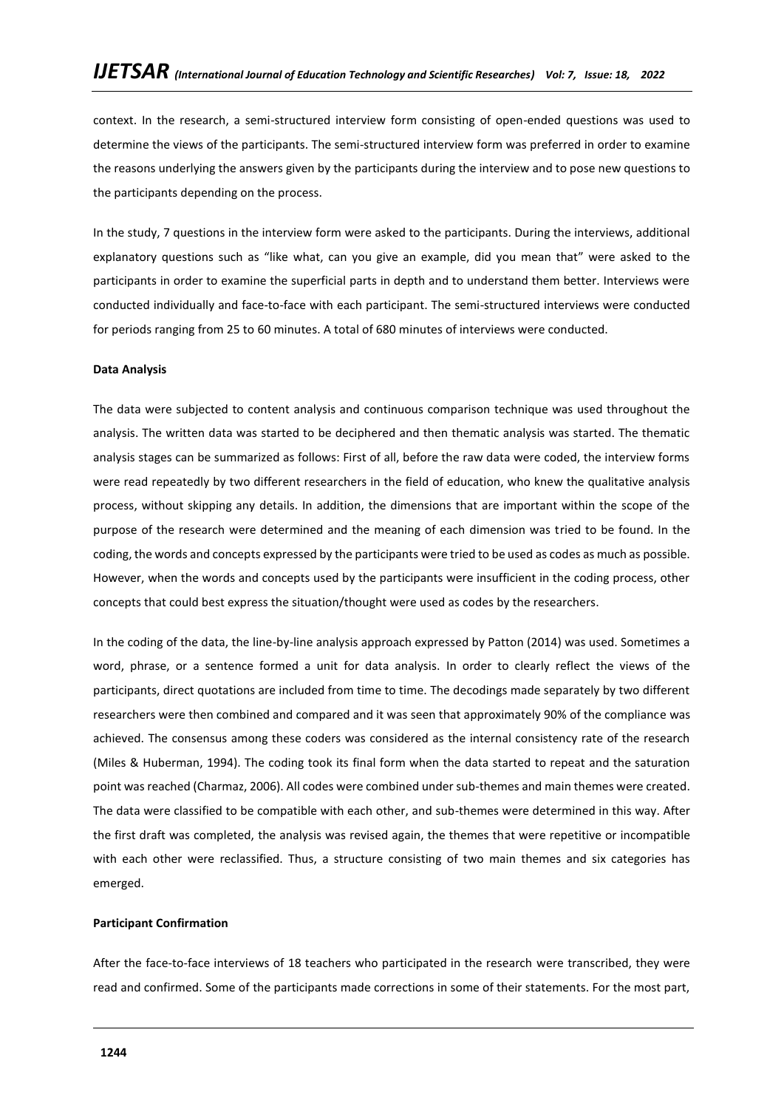context. In the research, a semi-structured interview form consisting of open-ended questions was used to determine the views of the participants. The semi-structured interview form was preferred in order to examine the reasons underlying the answers given by the participants during the interview and to pose new questions to the participants depending on the process.

In the study, 7 questions in the interview form were asked to the participants. During the interviews, additional explanatory questions such as "like what, can you give an example, did you mean that" were asked to the participants in order to examine the superficial parts in depth and to understand them better. Interviews were conducted individually and face-to-face with each participant. The semi-structured interviews were conducted for periods ranging from 25 to 60 minutes. A total of 680 minutes of interviews were conducted.

### **Data Analysis**

The data were subjected to content analysis and continuous comparison technique was used throughout the analysis. The written data was started to be deciphered and then thematic analysis was started. The thematic analysis stages can be summarized as follows: First of all, before the raw data were coded, the interview forms were read repeatedly by two different researchers in the field of education, who knew the qualitative analysis process, without skipping any details. In addition, the dimensions that are important within the scope of the purpose of the research were determined and the meaning of each dimension was tried to be found. In the coding, the words and concepts expressed by the participants were tried to be used as codes as much as possible. However, when the words and concepts used by the participants were insufficient in the coding process, other concepts that could best express the situation/thought were used as codes by the researchers.

In the coding of the data, the line-by-line analysis approach expressed by Patton (2014) was used. Sometimes a word, phrase, or a sentence formed a unit for data analysis. In order to clearly reflect the views of the participants, direct quotations are included from time to time. The decodings made separately by two different researchers were then combined and compared and it was seen that approximately 90% of the compliance was achieved. The consensus among these coders was considered as the internal consistency rate of the research (Miles & Huberman, 1994). The coding took its final form when the data started to repeat and the saturation point was reached (Charmaz, 2006). All codes were combined under sub-themes and main themes were created. The data were classified to be compatible with each other, and sub-themes were determined in this way. After the first draft was completed, the analysis was revised again, the themes that were repetitive or incompatible with each other were reclassified. Thus, a structure consisting of two main themes and six categories has emerged.

#### **Participant Confirmation**

After the face-to-face interviews of 18 teachers who participated in the research were transcribed, they were read and confirmed. Some of the participants made corrections in some of their statements. For the most part,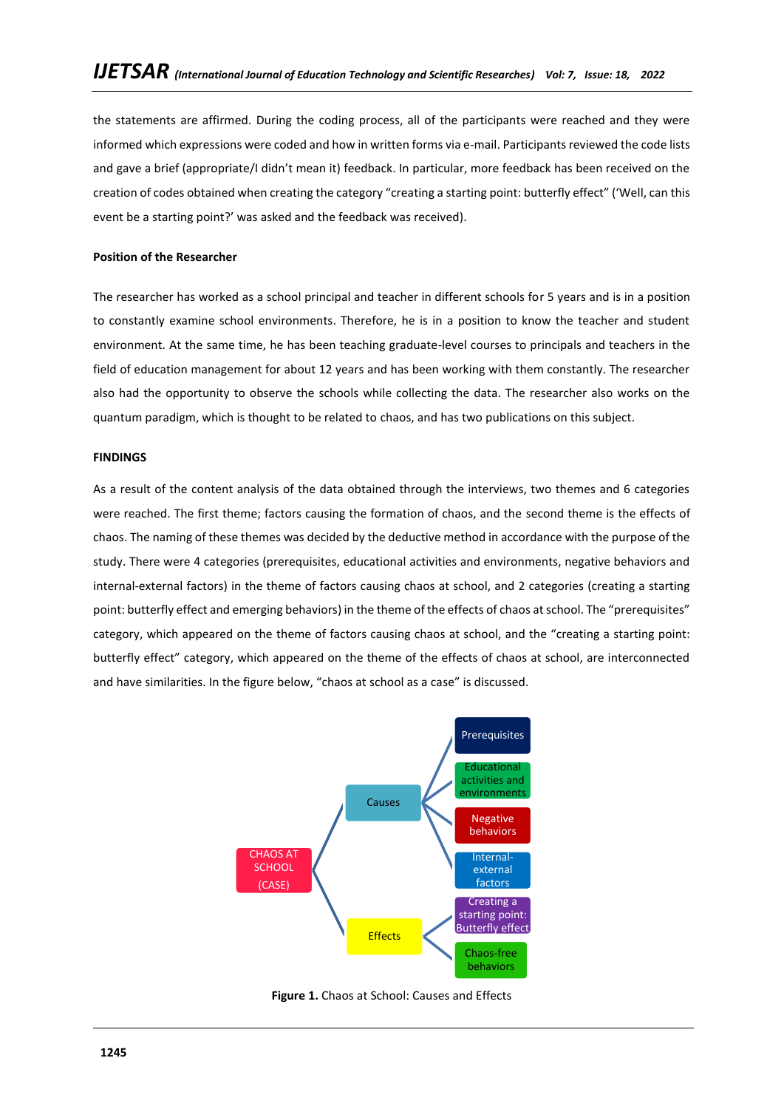the statements are affirmed. During the coding process, all of the participants were reached and they were informed which expressions were coded and how in written forms via e-mail. Participants reviewed the code lists and gave a brief (appropriate/I didn't mean it) feedback. In particular, more feedback has been received on the creation of codes obtained when creating the category "creating a starting point: butterfly effect" ('Well, can this event be a starting point?' was asked and the feedback was received).

## **Position of the Researcher**

The researcher has worked as a school principal and teacher in different schools for 5 years and is in a position to constantly examine school environments. Therefore, he is in a position to know the teacher and student environment. At the same time, he has been teaching graduate-level courses to principals and teachers in the field of education management for about 12 years and has been working with them constantly. The researcher also had the opportunity to observe the schools while collecting the data. The researcher also works on the quantum paradigm, which is thought to be related to chaos, and has two publications on this subject.

### **FINDINGS**

As a result of the content analysis of the data obtained through the interviews, two themes and 6 categories were reached. The first theme; factors causing the formation of chaos, and the second theme is the effects of chaos. The naming of these themes was decided by the deductive method in accordance with the purpose of the study. There were 4 categories (prerequisites, educational activities and environments, negative behaviors and internal-external factors) in the theme of factors causing chaos at school, and 2 categories (creating a starting point: butterfly effect and emerging behaviors) in the theme of the effects of chaos at school. The "prerequisites" category, which appeared on the theme of factors causing chaos at school, and the "creating a starting point: butterfly effect" category, which appeared on the theme of the effects of chaos at school, are interconnected and have similarities. In the figure below, "chaos at school as a case" is discussed.



**Figure 1.** Chaos at School: Causes and Effects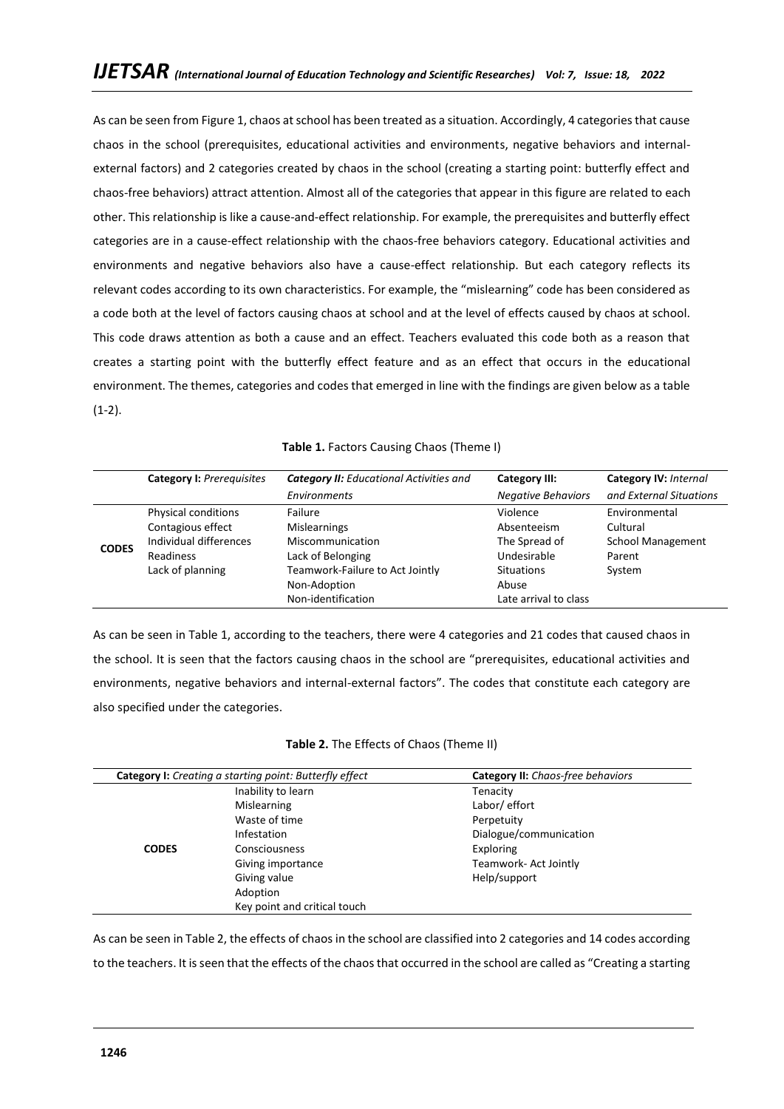As can be seen from Figure 1, chaos at school has been treated as a situation. Accordingly, 4 categories that cause chaos in the school (prerequisites, educational activities and environments, negative behaviors and internalexternal factors) and 2 categories created by chaos in the school (creating a starting point: butterfly effect and chaos-free behaviors) attract attention. Almost all of the categories that appear in this figure are related to each other. This relationship is like a cause-and-effect relationship. For example, the prerequisites and butterfly effect categories are in a cause-effect relationship with the chaos-free behaviors category. Educational activities and environments and negative behaviors also have a cause-effect relationship. But each category reflects its relevant codes according to its own characteristics. For example, the "mislearning" code has been considered as a code both at the level of factors causing chaos at school and at the level of effects caused by chaos at school. This code draws attention as both a cause and an effect. Teachers evaluated this code both as a reason that creates a starting point with the butterfly effect feature and as an effect that occurs in the educational environment. The themes, categories and codes that emerged in line with the findings are given below as a table (1-2).

| Table 1. Factors Causing Chaos (Theme I) |  |
|------------------------------------------|--|
|------------------------------------------|--|

|              | <b>Category I: Prerequisites</b> | <b>Category II:</b> Educational Activities and | <b>Category III:</b>      | Category IV: Internal    |
|--------------|----------------------------------|------------------------------------------------|---------------------------|--------------------------|
|              |                                  | Environments                                   | <b>Negative Behaviors</b> | and External Situations  |
| <b>CODES</b> | Physical conditions              | Failure                                        | Violence                  | Environmental            |
|              | Contagious effect                | <b>Mislearnings</b>                            | Absenteeism               | Cultural                 |
|              | Individual differences           | Miscommunication                               | The Spread of             | <b>School Management</b> |
|              | <b>Readiness</b>                 | Lack of Belonging                              | Undesirable               | Parent                   |
|              | Lack of planning                 | Teamwork-Failure to Act Jointly                | <b>Situations</b>         | System                   |
|              |                                  | Non-Adoption                                   | Abuse                     |                          |
|              |                                  | Non-identification                             | Late arrival to class     |                          |

As can be seen in Table 1, according to the teachers, there were 4 categories and 21 codes that caused chaos in the school. It is seen that the factors causing chaos in the school are "prerequisites, educational activities and environments, negative behaviors and internal-external factors". The codes that constitute each category are also specified under the categories.

| Table 2. The Effects of Chaos (Theme II) |  |
|------------------------------------------|--|
|                                          |  |

|              | <b>Category I:</b> Creating a starting point: Butterfly effect | <b>Category II:</b> Chaos-free behaviors |
|--------------|----------------------------------------------------------------|------------------------------------------|
|              | Inability to learn                                             | Tenacity                                 |
|              | Mislearning                                                    | Labor/ effort                            |
|              | Waste of time                                                  | Perpetuity                               |
|              | Infestation                                                    | Dialogue/communication                   |
| <b>CODES</b> | <b>Consciousness</b>                                           | Exploring                                |
|              | Giving importance                                              | Teamwork-Act Jointly                     |
|              | Giving value                                                   | Help/support                             |
|              | Adoption                                                       |                                          |
|              | Key point and critical touch                                   |                                          |

As can be seen in Table 2, the effects of chaos in the school are classified into 2 categories and 14 codes according to the teachers. It is seen that the effects of the chaos that occurred in the school are called as "Creating a starting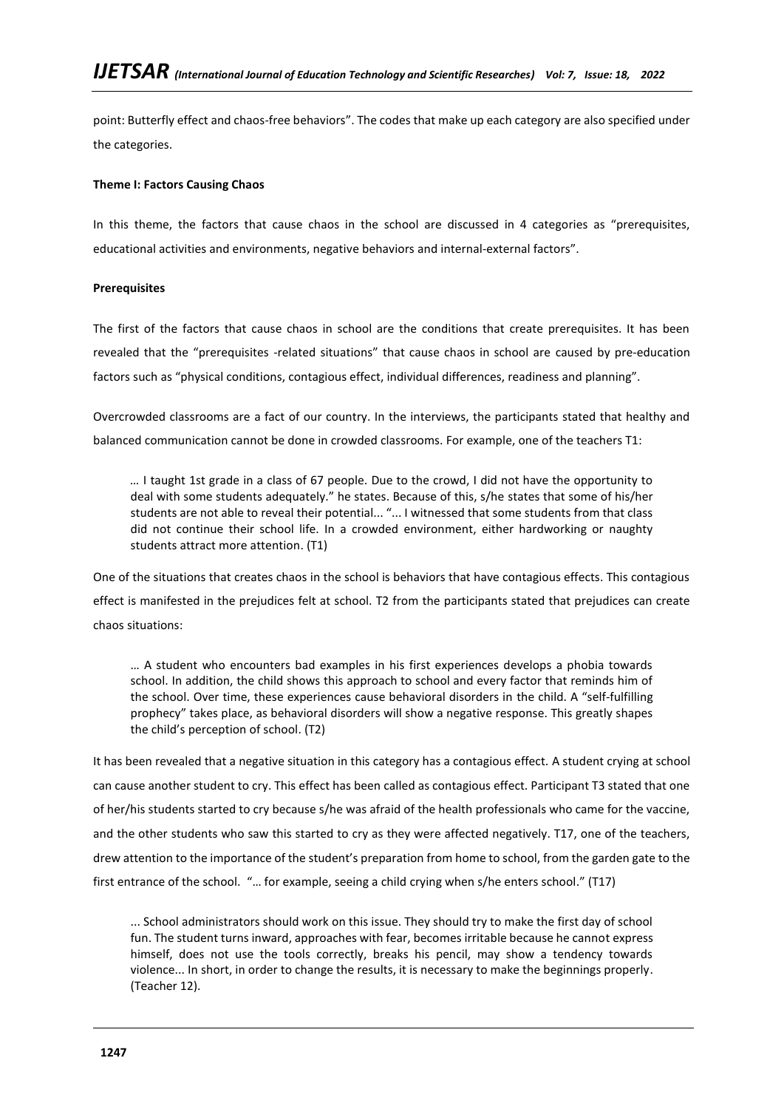point: Butterfly effect and chaos-free behaviors". The codes that make up each category are also specified under the categories.

## **Theme I: Factors Causing Chaos**

In this theme, the factors that cause chaos in the school are discussed in 4 categories as "prerequisites, educational activities and environments, negative behaviors and internal-external factors".

## **Prerequisites**

The first of the factors that cause chaos in school are the conditions that create prerequisites. It has been revealed that the "prerequisites -related situations" that cause chaos in school are caused by pre-education factors such as "physical conditions, contagious effect, individual differences, readiness and planning".

Overcrowded classrooms are a fact of our country. In the interviews, the participants stated that healthy and balanced communication cannot be done in crowded classrooms. For example, one of the teachers T1:

*…* I taught 1st grade in a class of 67 people. Due to the crowd, I did not have the opportunity to deal with some students adequately." he states. Because of this, s/he states that some of his/her students are not able to reveal their potential... "... I witnessed that some students from that class did not continue their school life. In a crowded environment, either hardworking or naughty students attract more attention. (T1)

One of the situations that creates chaos in the school is behaviors that have contagious effects. This contagious effect is manifested in the prejudices felt at school. T2 from the participants stated that prejudices can create chaos situations:

… A student who encounters bad examples in his first experiences develops a phobia towards school. In addition, the child shows this approach to school and every factor that reminds him of the school. Over time, these experiences cause behavioral disorders in the child. A "self-fulfilling prophecy" takes place, as behavioral disorders will show a negative response. This greatly shapes the child's perception of school. (T2)

It has been revealed that a negative situation in this category has a contagious effect. A student crying at school can cause another student to cry. This effect has been called as contagious effect. Participant T3 stated that one of her/his students started to cry because s/he was afraid of the health professionals who came for the vaccine, and the other students who saw this started to cry as they were affected negatively. T17, one of the teachers, drew attention to the importance of the student's preparation from home to school, from the garden gate to the first entrance of the school. "… for example, seeing a child crying when s/he enters school." (T17)

... School administrators should work on this issue. They should try to make the first day of school fun. The student turns inward, approaches with fear, becomes irritable because he cannot express himself, does not use the tools correctly, breaks his pencil, may show a tendency towards violence... In short, in order to change the results, it is necessary to make the beginnings properly. (Teacher 12).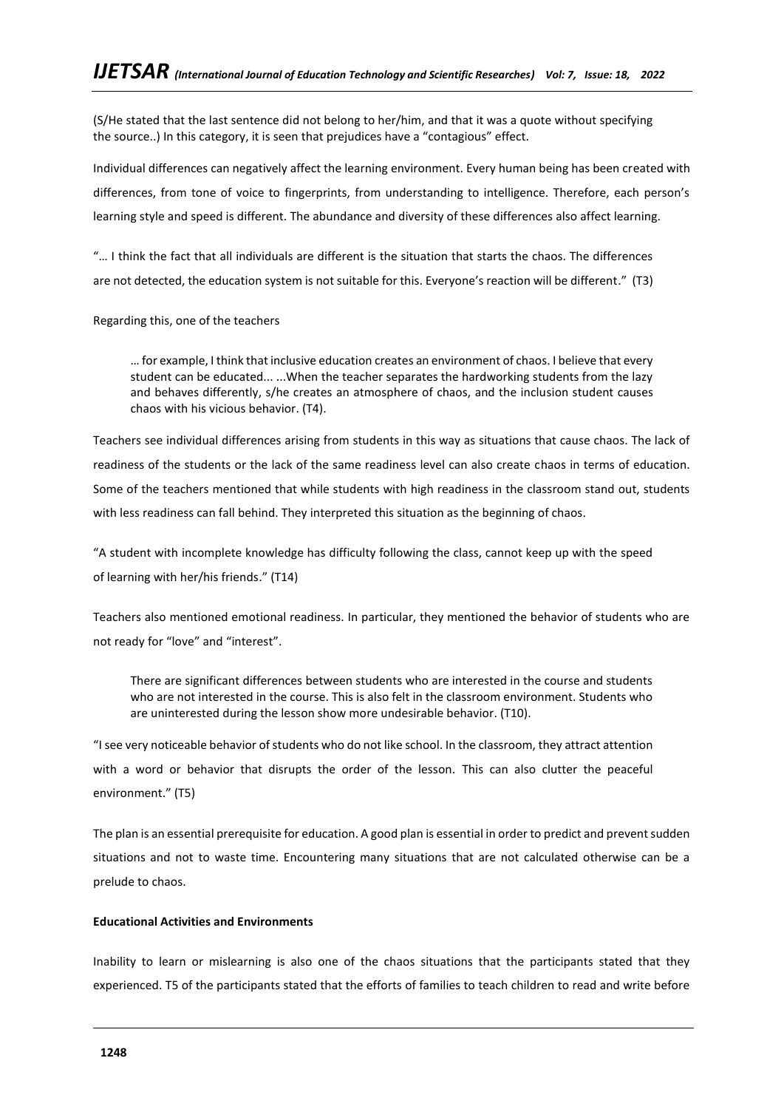(S/He stated that the last sentence did not belong to her/him, and that it was a quote without specifying the source..) In this category, it is seen that prejudices have a "contagious" effect.

Individual differences can negatively affect the learning environment. Every human being has been created with differences, from tone of voice to fingerprints, from understanding to intelligence. Therefore, each person's learning style and speed is different. The abundance and diversity of these differences also affect learning.

"… I think the fact that all individuals are different is the situation that starts the chaos. The differences are not detected, the education system is not suitable for this. Everyone's reaction will be different." (T3)

Regarding this, one of the teachers

… for example, I think that inclusive education creates an environment of chaos. I believe that every student can be educated... ...When the teacher separates the hardworking students from the lazy and behaves differently, s/he creates an atmosphere of chaos, and the inclusion student causes chaos with his vicious behavior. (T4).

Teachers see individual differences arising from students in this way as situations that cause chaos. The lack of readiness of the students or the lack of the same readiness level can also create chaos in terms of education. Some of the teachers mentioned that while students with high readiness in the classroom stand out, students with less readiness can fall behind. They interpreted this situation as the beginning of chaos.

"A student with incomplete knowledge has difficulty following the class, cannot keep up with the speed of learning with her/his friends." (T14)

Teachers also mentioned emotional readiness. In particular, they mentioned the behavior of students who are not ready for "love" and "interest".

There are significant differences between students who are interested in the course and students who are not interested in the course. This is also felt in the classroom environment. Students who are uninterested during the lesson show more undesirable behavior. (T10).

"I see very noticeable behavior of students who do not like school. In the classroom, they attract attention with a word or behavior that disrupts the order of the lesson. This can also clutter the peaceful environment." (T5)

The plan is an essential prerequisite for education. A good plan is essential in order to predict and prevent sudden situations and not to waste time. Encountering many situations that are not calculated otherwise can be a prelude to chaos.

# **Educational Activities and Environments**

Inability to learn or mislearning is also one of the chaos situations that the participants stated that they experienced. T5 of the participants stated that the efforts of families to teach children to read and write before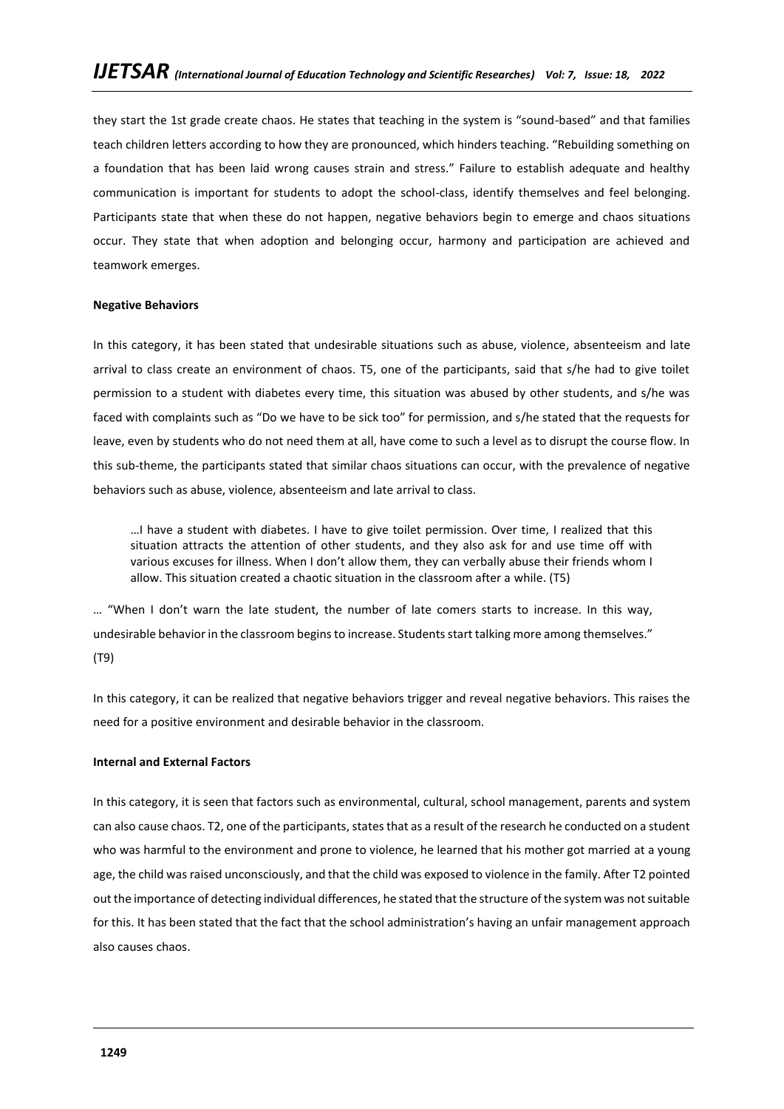they start the 1st grade create chaos. He states that teaching in the system is "sound-based" and that families teach children letters according to how they are pronounced, which hinders teaching. "Rebuilding something on a foundation that has been laid wrong causes strain and stress." Failure to establish adequate and healthy communication is important for students to adopt the school-class, identify themselves and feel belonging. Participants state that when these do not happen, negative behaviors begin to emerge and chaos situations occur. They state that when adoption and belonging occur, harmony and participation are achieved and teamwork emerges.

### **Negative Behaviors**

In this category, it has been stated that undesirable situations such as abuse, violence, absenteeism and late arrival to class create an environment of chaos. T5, one of the participants, said that s/he had to give toilet permission to a student with diabetes every time, this situation was abused by other students, and s/he was faced with complaints such as "Do we have to be sick too" for permission, and s/he stated that the requests for leave, even by students who do not need them at all, have come to such a level as to disrupt the course flow. In this sub-theme, the participants stated that similar chaos situations can occur, with the prevalence of negative behaviors such as abuse, violence, absenteeism and late arrival to class.

…I have a student with diabetes. I have to give toilet permission. Over time, I realized that this situation attracts the attention of other students, and they also ask for and use time off with various excuses for illness. When I don't allow them, they can verbally abuse their friends whom I allow. This situation created a chaotic situation in the classroom after a while. (T5)

… "When I don't warn the late student, the number of late comers starts to increase. In this way, undesirable behavior in the classroom begins to increase. Students start talking more among themselves." (T9)

In this category, it can be realized that negative behaviors trigger and reveal negative behaviors. This raises the need for a positive environment and desirable behavior in the classroom.

## **Internal and External Factors**

In this category, it is seen that factors such as environmental, cultural, school management, parents and system can also cause chaos. T2, one of the participants, states that as a result of the research he conducted on a student who was harmful to the environment and prone to violence, he learned that his mother got married at a young age, the child was raised unconsciously, and that the child was exposed to violence in the family. After T2 pointed out the importance of detecting individual differences, he stated that the structure of the system was not suitable for this. It has been stated that the fact that the school administration's having an unfair management approach also causes chaos.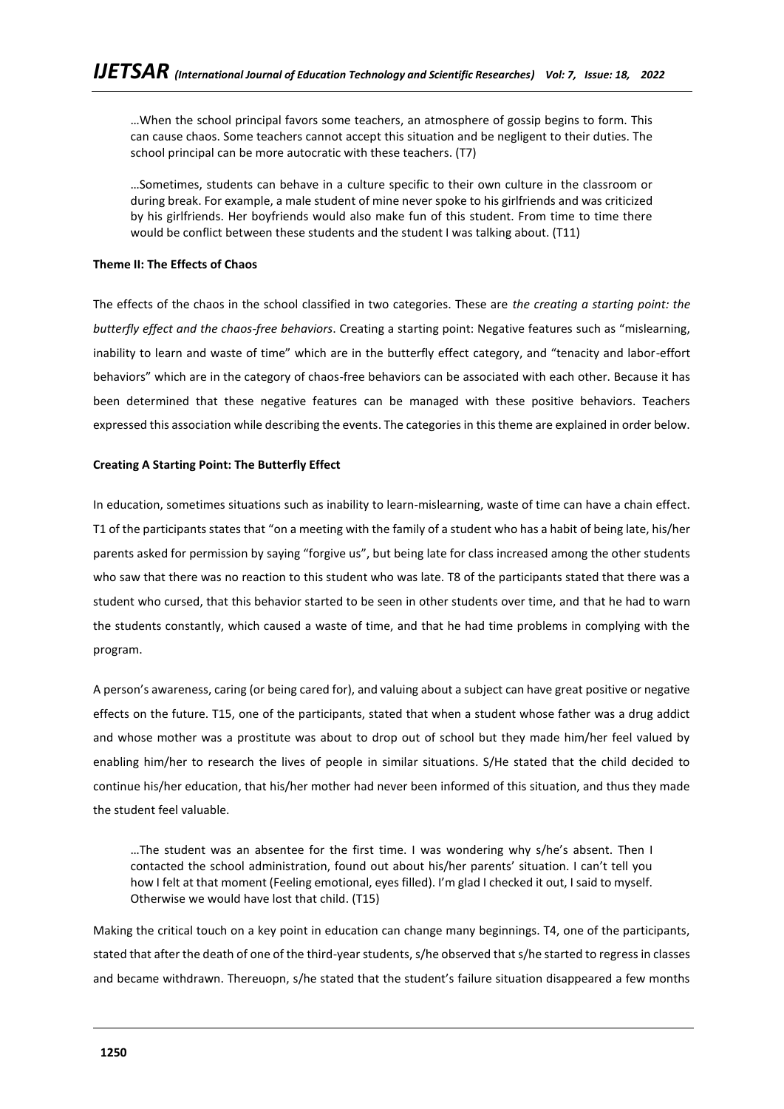…When the school principal favors some teachers, an atmosphere of gossip begins to form. This can cause chaos. Some teachers cannot accept this situation and be negligent to their duties. The school principal can be more autocratic with these teachers. (T7)

…Sometimes, students can behave in a culture specific to their own culture in the classroom or during break. For example, a male student of mine never spoke to his girlfriends and was criticized by his girlfriends. Her boyfriends would also make fun of this student. From time to time there would be conflict between these students and the student I was talking about. (T11)

## **Theme II: The Effects of Chaos**

The effects of the chaos in the school classified in two categories. These are *the creating a starting point: the butterfly effect and the chaos-free behaviors*. Creating a starting point: Negative features such as "mislearning, inability to learn and waste of time" which are in the butterfly effect category, and "tenacity and labor-effort behaviors" which are in the category of chaos-free behaviors can be associated with each other. Because it has been determined that these negative features can be managed with these positive behaviors. Teachers expressed this association while describing the events. The categories in this theme are explained in order below.

## **Creating A Starting Point: The Butterfly Effect**

In education, sometimes situations such as inability to learn-mislearning, waste of time can have a chain effect. T1 of the participants states that "on a meeting with the family of a student who has a habit of being late, his/her parents asked for permission by saying "forgive us", but being late for class increased among the other students who saw that there was no reaction to this student who was late. T8 of the participants stated that there was a student who cursed, that this behavior started to be seen in other students over time, and that he had to warn the students constantly, which caused a waste of time, and that he had time problems in complying with the program.

A person's awareness, caring (or being cared for), and valuing about a subject can have great positive or negative effects on the future. T15, one of the participants, stated that when a student whose father was a drug addict and whose mother was a prostitute was about to drop out of school but they made him/her feel valued by enabling him/her to research the lives of people in similar situations. S/He stated that the child decided to continue his/her education, that his/her mother had never been informed of this situation, and thus they made the student feel valuable.

…The student was an absentee for the first time. I was wondering why s/he's absent. Then I contacted the school administration, found out about his/her parents' situation. I can't tell you how I felt at that moment (Feeling emotional, eyes filled). I'm glad I checked it out, I said to myself. Otherwise we would have lost that child. (T15)

Making the critical touch on a key point in education can change many beginnings. T4, one of the participants, stated that after the death of one of the third-year students, s/he observed that s/he started to regress in classes and became withdrawn. Thereuopn, s/he stated that the student's failure situation disappeared a few months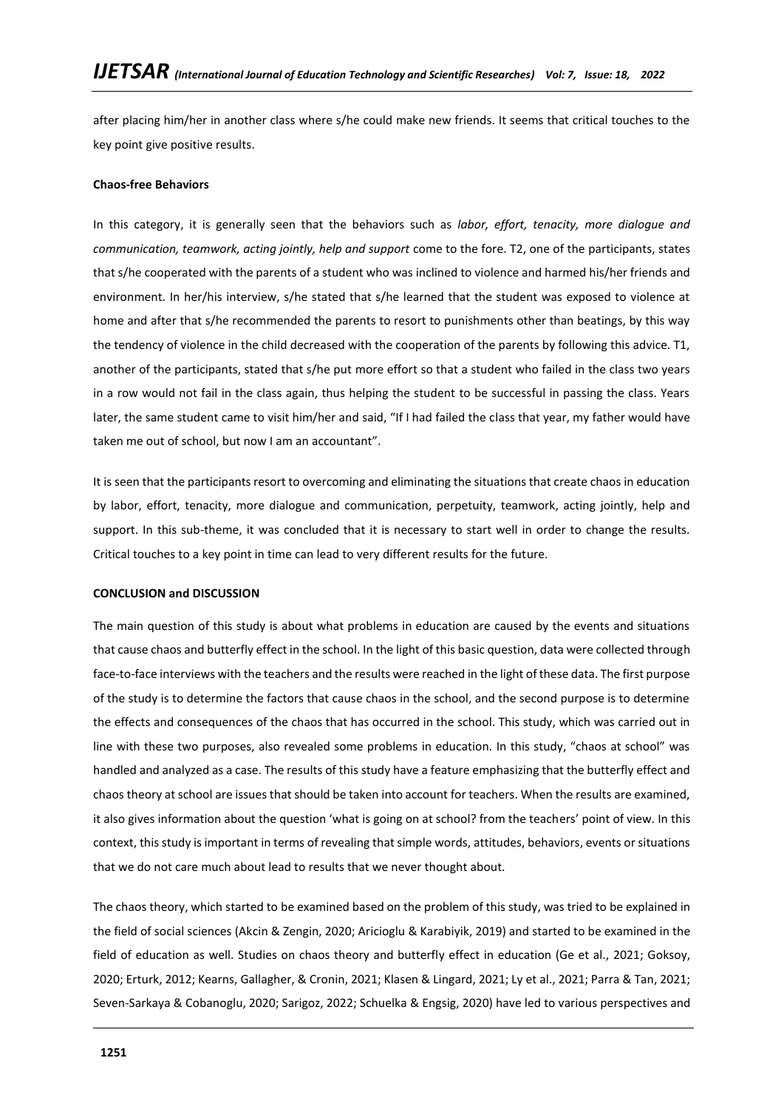after placing him/her in another class where s/he could make new friends. It seems that critical touches to the key point give positive results.

## **Chaos-free Behaviors**

In this category, it is generally seen that the behaviors such as *labor, effort, tenacity, more dialogue and communication, teamwork, acting jointly, help and support* come to the fore. T2, one of the participants, states that s/he cooperated with the parents of a student who was inclined to violence and harmed his/her friends and environment. In her/his interview, s/he stated that s/he learned that the student was exposed to violence at home and after that s/he recommended the parents to resort to punishments other than beatings, by this way the tendency of violence in the child decreased with the cooperation of the parents by following this advice. T1, another of the participants, stated that s/he put more effort so that a student who failed in the class two years in a row would not fail in the class again, thus helping the student to be successful in passing the class. Years later, the same student came to visit him/her and said, "If I had failed the class that year, my father would have taken me out of school, but now I am an accountant".

It is seen that the participants resort to overcoming and eliminating the situations that create chaos in education by labor, effort, tenacity, more dialogue and communication, perpetuity, teamwork, acting jointly, help and support. In this sub-theme, it was concluded that it is necessary to start well in order to change the results. Critical touches to a key point in time can lead to very different results for the future.

## **CONCLUSION and DISCUSSION**

The main question of this study is about what problems in education are caused by the events and situations that cause chaos and butterfly effect in the school. In the light of this basic question, data were collected through face-to-face interviews with the teachers and the results were reached in the light of these data. The first purpose of the study is to determine the factors that cause chaos in the school, and the second purpose is to determine the effects and consequences of the chaos that has occurred in the school. This study, which was carried out in line with these two purposes, also revealed some problems in education. In this study, "chaos at school" was handled and analyzed as a case. The results of this study have a feature emphasizing that the butterfly effect and chaos theory at school are issues that should be taken into account for teachers. When the results are examined, it also gives information about the question 'what is going on at school? from the teachers' point of view. In this context, this study is important in terms of revealing that simple words, attitudes, behaviors, events or situations that we do not care much about lead to results that we never thought about.

The chaos theory, which started to be examined based on the problem of this study, was tried to be explained in the field of social sciences (Akcin & Zengin, 2020; Aricioglu & Karabiyik, 2019) and started to be examined in the field of education as well. Studies on chaos theory and butterfly effect in education (Ge et al., 2021; Goksoy, 2020; Erturk, 2012; Kearns, Gallagher, & Cronin, 2021; Klasen & Lingard, 2021; Ly et al., 2021; Parra & Tan, 2021; Seven-Sarkaya & Cobanoglu, 2020; Sarigoz, 2022; Schuelka & Engsig, 2020) have led to various perspectives and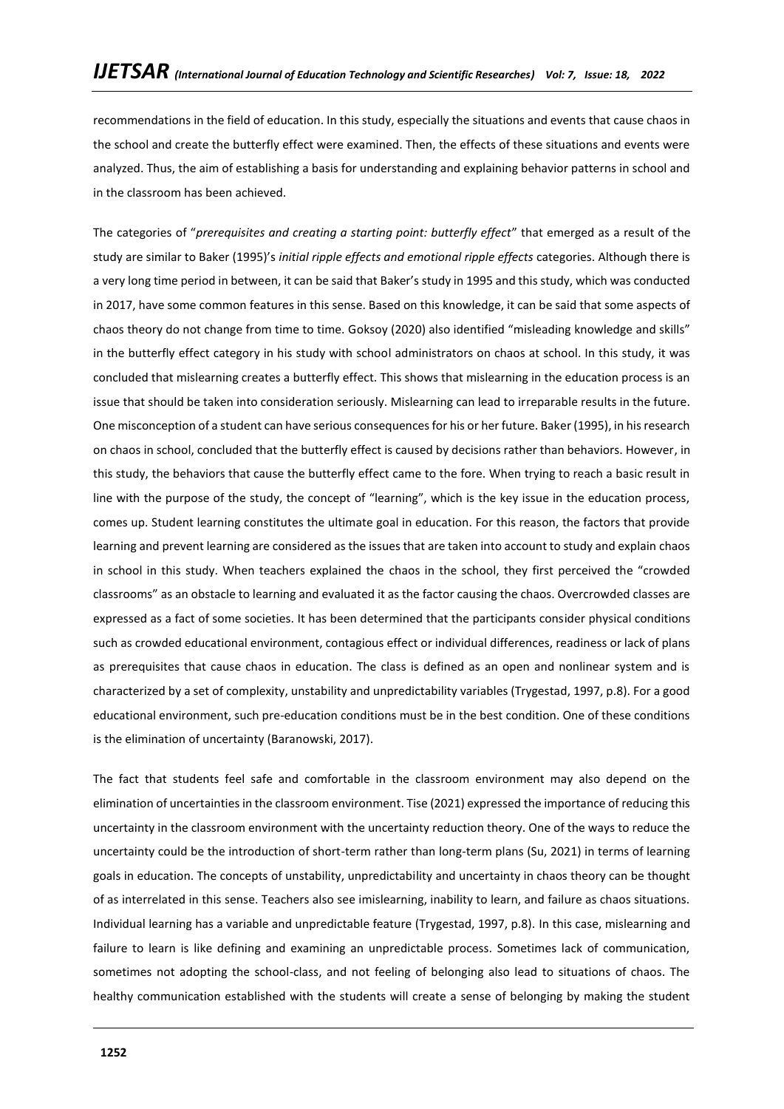recommendations in the field of education. In this study, especially the situations and events that cause chaos in the school and create the butterfly effect were examined. Then, the effects of these situations and events were analyzed. Thus, the aim of establishing a basis for understanding and explaining behavior patterns in school and in the classroom has been achieved.

The categories of "*prerequisites and creating a starting point: butterfly effect*" that emerged as a result of the study are similar to Baker (1995)'s *initial ripple effects and emotional ripple effects* categories. Although there is a very long time period in between, it can be said that Baker's study in 1995 and this study, which was conducted in 2017, have some common features in this sense. Based on this knowledge, it can be said that some aspects of chaos theory do not change from time to time. Goksoy (2020) also identified "misleading knowledge and skills" in the butterfly effect category in his study with school administrators on chaos at school. In this study, it was concluded that mislearning creates a butterfly effect. This shows that mislearning in the education process is an issue that should be taken into consideration seriously. Mislearning can lead to irreparable results in the future. One misconception of a student can have serious consequences for his or her future. Baker (1995), in his research on chaos in school, concluded that the butterfly effect is caused by decisions rather than behaviors. However, in this study, the behaviors that cause the butterfly effect came to the fore. When trying to reach a basic result in line with the purpose of the study, the concept of "learning", which is the key issue in the education process, comes up. Student learning constitutes the ultimate goal in education. For this reason, the factors that provide learning and prevent learning are considered as the issues that are taken into account to study and explain chaos in school in this study. When teachers explained the chaos in the school, they first perceived the "crowded classrooms" as an obstacle to learning and evaluated it as the factor causing the chaos. Overcrowded classes are expressed as a fact of some societies. It has been determined that the participants consider physical conditions such as crowded educational environment, contagious effect or individual differences, readiness or lack of plans as prerequisites that cause chaos in education. The class is defined as an open and nonlinear system and is characterized by a set of complexity, unstability and unpredictability variables (Trygestad, 1997, p.8). For a good educational environment, such pre-education conditions must be in the best condition. One of these conditions is the elimination of uncertainty (Baranowski, 2017).

The fact that students feel safe and comfortable in the classroom environment may also depend on the elimination of uncertainties in the classroom environment. Tise (2021) expressed the importance of reducing this uncertainty in the classroom environment with the uncertainty reduction theory. One of the ways to reduce the uncertainty could be the introduction of short-term rather than long-term plans (Su, 2021) in terms of learning goals in education. The concepts of unstability, unpredictability and uncertainty in chaos theory can be thought of as interrelated in this sense. Teachers also see imislearning, inability to learn, and failure as chaos situations. Individual learning has a variable and unpredictable feature (Trygestad, 1997, p.8). In this case, mislearning and failure to learn is like defining and examining an unpredictable process. Sometimes lack of communication, sometimes not adopting the school-class, and not feeling of belonging also lead to situations of chaos. The healthy communication established with the students will create a sense of belonging by making the student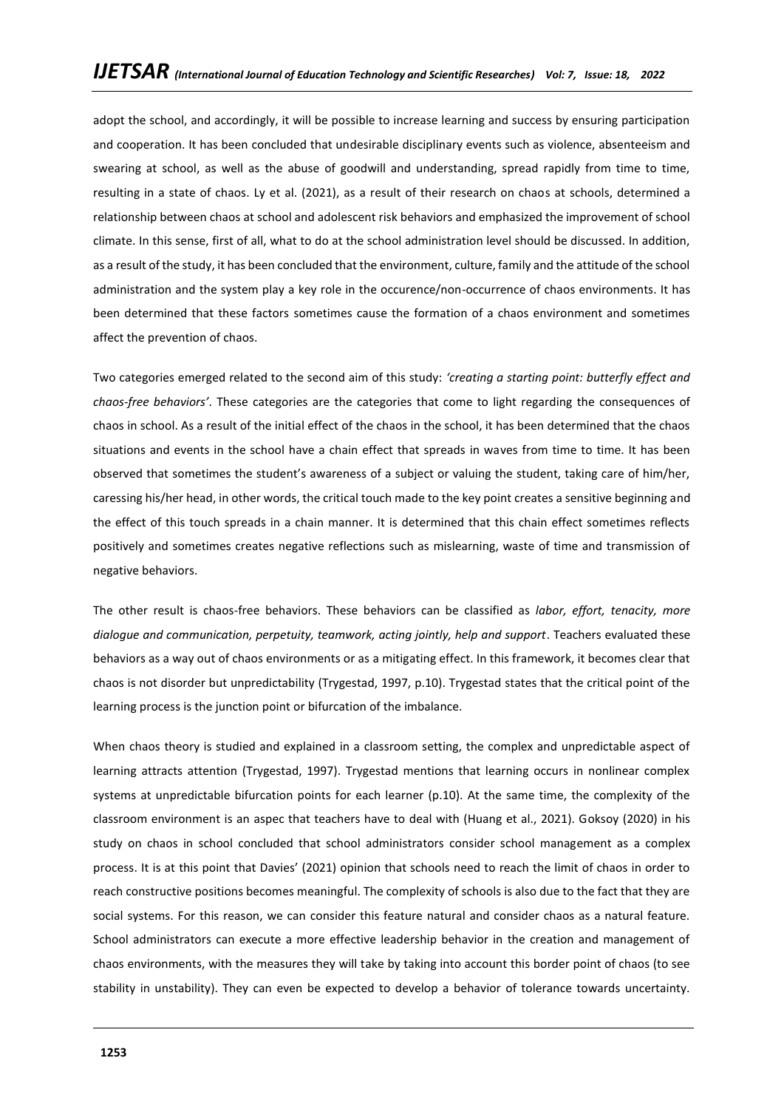adopt the school, and accordingly, it will be possible to increase learning and success by ensuring participation and cooperation. It has been concluded that undesirable disciplinary events such as violence, absenteeism and swearing at school, as well as the abuse of goodwill and understanding, spread rapidly from time to time, resulting in a state of chaos. Ly et al. (2021), as a result of their research on chaos at schools, determined a relationship between chaos at school and adolescent risk behaviors and emphasized the improvement of school climate. In this sense, first of all, what to do at the school administration level should be discussed. In addition, as a result of the study, it has been concluded that the environment, culture, family and the attitude of the school administration and the system play a key role in the occurence/non-occurrence of chaos environments. It has been determined that these factors sometimes cause the formation of a chaos environment and sometimes affect the prevention of chaos.

Two categories emerged related to the second aim of this study: *'creating a starting point: butterfly effect and chaos-free behaviors'*. These categories are the categories that come to light regarding the consequences of chaos in school. As a result of the initial effect of the chaos in the school, it has been determined that the chaos situations and events in the school have a chain effect that spreads in waves from time to time. It has been observed that sometimes the student's awareness of a subject or valuing the student, taking care of him/her, caressing his/her head, in other words, the critical touch made to the key point creates a sensitive beginning and the effect of this touch spreads in a chain manner. It is determined that this chain effect sometimes reflects positively and sometimes creates negative reflections such as mislearning, waste of time and transmission of negative behaviors.

The other result is chaos-free behaviors. These behaviors can be classified as *labor, effort, tenacity, more dialogue and communication, perpetuity, teamwork, acting jointly, help and support*. Teachers evaluated these behaviors as a way out of chaos environments or as a mitigating effect. In this framework, it becomes clear that chaos is not disorder but unpredictability (Trygestad, 1997, p.10). Trygestad states that the critical point of the learning process is the junction point or bifurcation of the imbalance.

When chaos theory is studied and explained in a classroom setting, the complex and unpredictable aspect of learning attracts attention (Trygestad, 1997). Trygestad mentions that learning occurs in nonlinear complex systems at unpredictable bifurcation points for each learner (p.10). At the same time, the complexity of the classroom environment is an aspec that teachers have to deal with (Huang et al., 2021). Goksoy (2020) in his study on chaos in school concluded that school administrators consider school management as a complex process. It is at this point that Davies' (2021) opinion that schools need to reach the limit of chaos in order to reach constructive positions becomes meaningful. The complexity of schools is also due to the fact that they are social systems. For this reason, we can consider this feature natural and consider chaos as a natural feature. School administrators can execute a more effective leadership behavior in the creation and management of chaos environments, with the measures they will take by taking into account this border point of chaos (to see stability in unstability). They can even be expected to develop a behavior of tolerance towards uncertainty.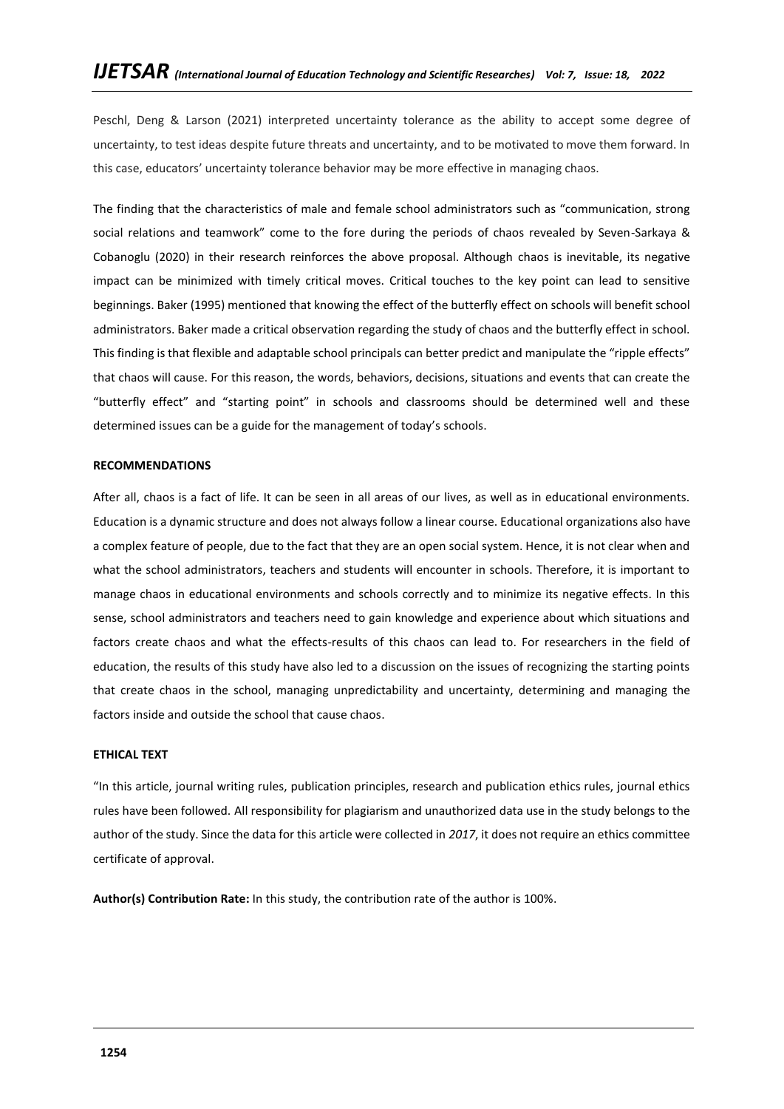Peschl, Deng & Larson (2021) interpreted uncertainty tolerance as the ability to accept some degree of uncertainty, to test ideas despite future threats and uncertainty, and to be motivated to move them forward. In this case, educators' uncertainty tolerance behavior may be more effective in managing chaos.

The finding that the characteristics of male and female school administrators such as "communication, strong social relations and teamwork" come to the fore during the periods of chaos revealed by Seven-Sarkaya & Cobanoglu (2020) in their research reinforces the above proposal. Although chaos is inevitable, its negative impact can be minimized with timely critical moves. Critical touches to the key point can lead to sensitive beginnings. Baker (1995) mentioned that knowing the effect of the butterfly effect on schools will benefit school administrators. Baker made a critical observation regarding the study of chaos and the butterfly effect in school. This finding is that flexible and adaptable school principals can better predict and manipulate the "ripple effects" that chaos will cause. For this reason, the words, behaviors, decisions, situations and events that can create the "butterfly effect" and "starting point" in schools and classrooms should be determined well and these determined issues can be a guide for the management of today's schools.

## **RECOMMENDATIONS**

After all, chaos is a fact of life. It can be seen in all areas of our lives, as well as in educational environments. Education is a dynamic structure and does not always follow a linear course. Educational organizations also have a complex feature of people, due to the fact that they are an open social system. Hence, it is not clear when and what the school administrators, teachers and students will encounter in schools. Therefore, it is important to manage chaos in educational environments and schools correctly and to minimize its negative effects. In this sense, school administrators and teachers need to gain knowledge and experience about which situations and factors create chaos and what the effects-results of this chaos can lead to. For researchers in the field of education, the results of this study have also led to a discussion on the issues of recognizing the starting points that create chaos in the school, managing unpredictability and uncertainty, determining and managing the factors inside and outside the school that cause chaos.

#### **ETHICAL TEXT**

"In this article, journal writing rules, publication principles, research and publication ethics rules, journal ethics rules have been followed. All responsibility for plagiarism and unauthorized data use in the study belongs to the author of the study. Since the data for this article were collected in *2017*, it does not require an ethics committee certificate of approval.

**Author(s) Contribution Rate:** In this study, the contribution rate of the author is 100%.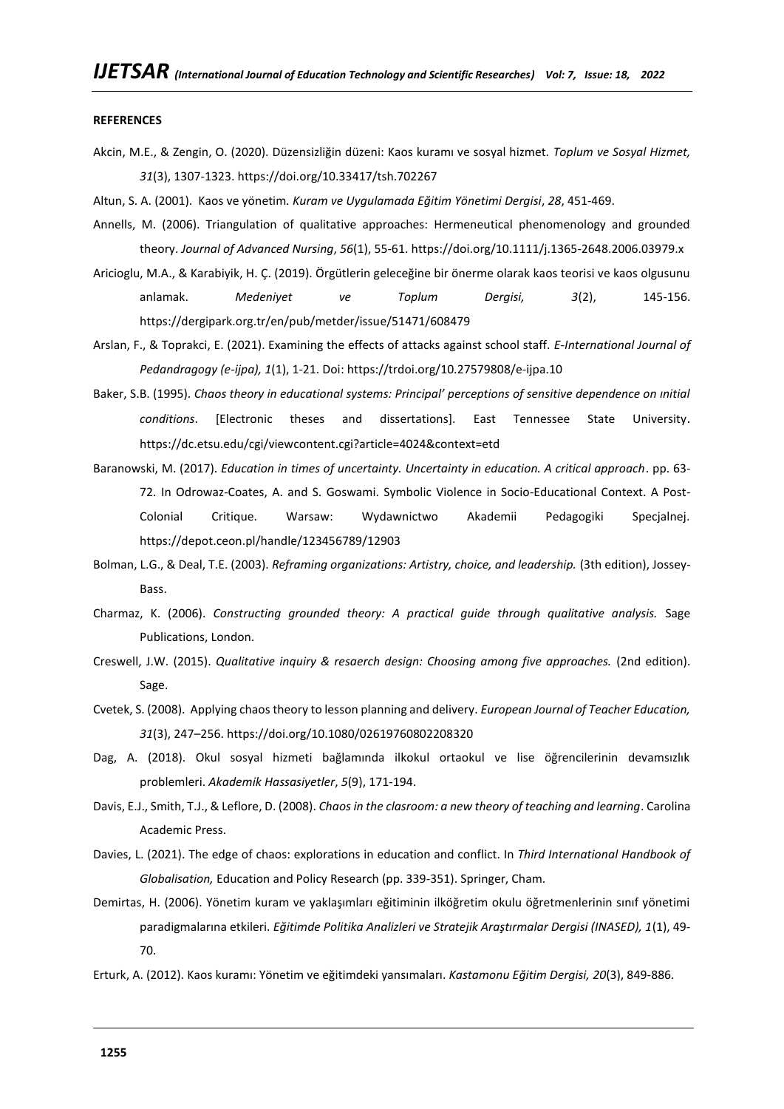#### **REFERENCES**

- Akcin, M.E., & Zengin, O. (2020). Düzensizliğin düzeni: Kaos kuramı ve sosyal hizmet. *Toplum ve Sosyal Hizmet, 31*(3), 1307-1323[. https://doi.org/10.33417/tsh.702267](https://doi.org/10.33417/tsh.702267)
- Altun, S. A. (2001). Kaos ve yönetim*. Kuram ve Uygulamada Eğitim Yönetimi Dergisi*, *28*, 451-469.
- Annells, M. (2006). Triangulation of qualitative approaches: Hermeneutical phenomenology and grounded theory. *Journal of Advanced Nursing*, *56*(1), 55-61[. https://doi.org/10.1111/j.1365-2648.2006.03979.x](https://doi.org/10.1111/j.1365-2648.2006.03979.x)
- Aricioglu, M.A., & Karabiyik, H. Ç. (2019). Örgütlerin geleceğine bir önerme olarak kaos teorisi ve kaos olgusunu anlamak. *Medeniyet ve Toplum Dergisi, 3*(2), 145-156. <https://dergipark.org.tr/en/pub/metder/issue/51471/608479>
- Arslan, F., & Toprakci, E. (2021). Examining the effects of attacks against school staff. *E-International Journal of Pedandragogy (e-ijpa), 1*(1), 1-21. Doi:<https://trdoi.org/10.27579808/e-ijpa.10>
- Baker, S.B. (1995). *Chaos theory in educational systems: Principal' perceptions of sensitive dependence on ınitial conditions*. [Electronic theses and dissertations]. East Tennessee State University. <https://dc.etsu.edu/cgi/viewcontent.cgi?article=4024&context=etd>
- Baranowski, M. (2017). *Education in times of uncertainty. Uncertainty in education. A critical approach*. pp. 63- 72. In Odrowaz-Coates, A. and S. Goswami. Symbolic Violence in Socio-Educational Context. A Post-Colonial Critique. Warsaw: Wydawnictwo Akademii Pedagogiki Specjalnej. <https://depot.ceon.pl/handle/123456789/12903>
- Bolman, L.G., & Deal, T.E. (2003). *Reframing organizations: Artistry, choice, and leadership.* (3th edition), Jossey-Bass.
- Charmaz, K. (2006). *Constructing grounded theory: A practical guide through qualitative analysis.* Sage Publications, London.
- Creswell, J.W. (2015). *Qualitative inquiry & resaerch design: Choosing among five approaches.* (2nd edition). Sage.
- Cvetek, S. (2008). Applying chaos theory to lesson planning and delivery. *European Journal of Teacher Education, 31*(3), 247–256[. https://doi.org/10.1080/02619760802208320](https://doi.org/10.1080/02619760802208320)
- Dag, A. (2018). Okul sosyal hizmeti bağlamında ilkokul ortaokul ve lise öğrencilerinin devamsızlık problemleri. *Akademik Hassasiyetler*, *5*(9), 171-194.
- Davis, E.J., Smith, T.J., & Leflore, D. (2008). *Chaos in the clasroom: a new theory of teaching and learning*. Carolina Academic Press.
- Davies, L. (2021). The edge of chaos: explorations in education and conflict. In *Third International Handbook of Globalisation,* Education and Policy Research (pp. 339-351). Springer, Cham.
- Demirtas, H. (2006). Yönetim kuram ve yaklaşımları eğitiminin ilköğretim okulu öğretmenlerinin sınıf yönetimi paradigmalarına etkileri. *Eğitimde Politika Analizleri ve Stratejik Araştırmalar Dergisi (INASED), 1*(1), 49- 70.
- Erturk, A. (2012). Kaos kuramı: Yönetim ve eğitimdeki yansımaları. *Kastamonu Eğitim Dergisi, 20*(3), 849-886.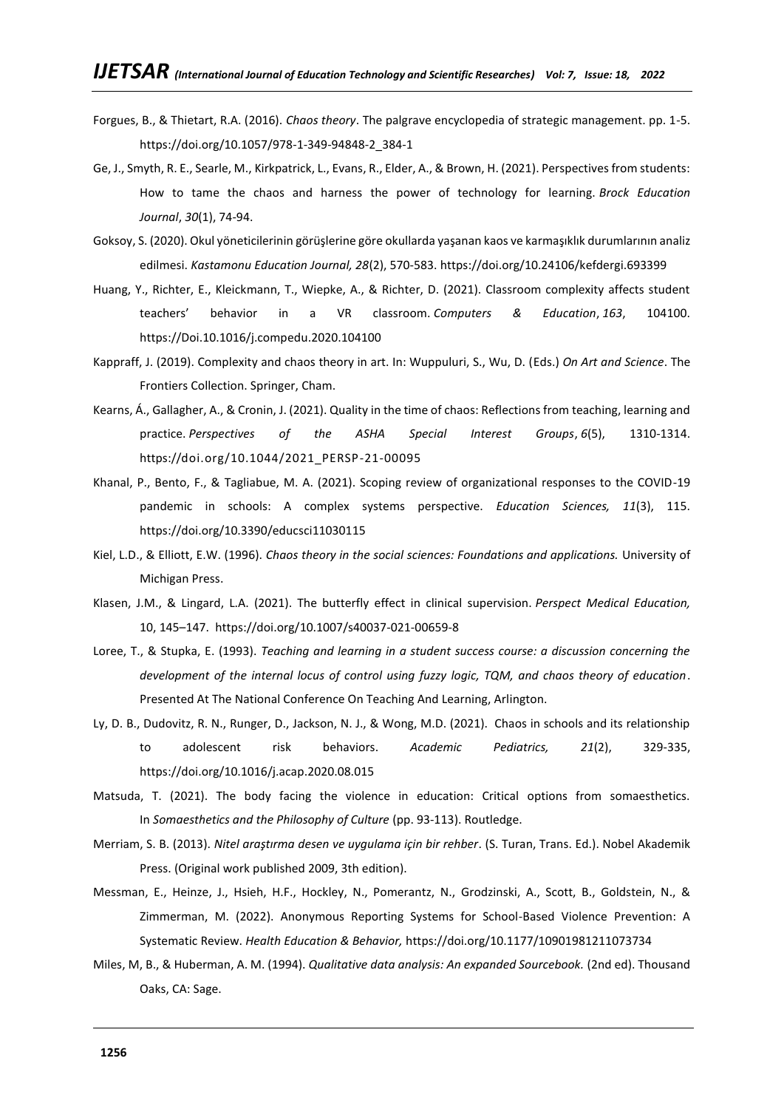- Forgues, B., & Thietart, R.A. (2016). *Chaos theory*. The palgrave encyclopedia of strategic management. pp. 1-5. [https://doi.org/10.1057/978-1-349-94848-2\\_384-1](https://doi.org/10.1057/978-1-349-94848-2_384-1)
- Ge, J., Smyth, R. E., Searle, M., Kirkpatrick, L., Evans, R., Elder, A., & Brown, H. (2021). Perspectives from students: How to tame the chaos and harness the power of technology for learning. *Brock Education Journal*, *30*(1), 74-94.
- Goksoy, S. (2020). Okul yöneticilerinin görüşlerine göre okullarda yaşanan kaos ve karmaşıklık durumlarının analiz edilmesi. *Kastamonu Education Journal, 28*(2), 570-583[. https://doi.org/10.24106/kefdergi.693399](https://doi.org/10.24106/kefdergi.693399)
- Huang, Y., Richter, E., Kleickmann, T., Wiepke, A., & Richter, D. (2021). Classroom complexity affects student teachers' behavior in a VR classroom. *Computers & Education*, *163*, 104100. https://Doi[.10.1016/j.compedu.2020.104100](http://doi.org/10.1016/j.compedu.2020.104100)
- Kappraff, J. (2019). Complexity and chaos theory in art. In: Wuppuluri, S., Wu, D. (Eds.) *On Art and Science*. The Frontiers Collection. Springer, Cham.
- Kearns, Á., Gallagher, A., & Cronin, J. (2021). Quality in the time of chaos: Reflections from teaching, learning and practice. *Perspectives of the ASHA Special Interest Groups*, *6*(5), 1310-1314. https:/[/doi.org/10.1044/2021\\_PERSP-21-00095](https://doi.org/10.1044/2021_PERSP-21-00095)
- Khanal, P., Bento, F., & Tagliabue, M. A. (2021). Scoping review of organizational responses to the COVID-19 pandemic in schools: A complex systems perspective. *Education Sciences, 11*(3), 115. <https://doi.org/10.3390/educsci11030115>
- Kiel, L.D., & Elliott, E.W. (1996). *Chaos theory in the social sciences: Foundations and applications.* University of Michigan Press.
- Klasen, J.M., & Lingard, L.A. (2021). The butterfly effect in clinical supervision. *Perspect Medical Education,*  10, 145–147.<https://doi.org/10.1007/s40037-021-00659-8>
- Loree, T., & Stupka, E. (1993). *Teaching and learning in a student success course: a discussion concerning the development of the internal locus of control using fuzzy logic, TQM, and chaos theory of education*. Presented At The National Conference On Teaching And Learning, Arlington.
- Ly, D. B., Dudovitz, R. N., Runger, D., Jackson, N. J., & Wong, M.D. (2021). Chaos in schools and its relationship to adolescent risk behaviors. *Academic Pediatrics, 21*(2), 329-335, <https://doi.org/10.1016/j.acap.2020.08.015>
- Matsuda, T. (2021). The body facing the violence in education: Critical options from somaesthetics. In *Somaesthetics and the Philosophy of Culture* (pp. 93-113). Routledge.
- Merriam, S. B. (2013). *Nitel araştırma desen ve uygulama için bir rehber*. (S. Turan, Trans. Ed.). Nobel Akademik Press. (Original work published 2009, 3th edition).
- Messman, E., Heinze, J., Hsieh, H.F., Hockley, N., Pomerantz, N., Grodzinski, A., Scott, B., Goldstein, N., & Zimmerman, M. (2022). Anonymous Reporting Systems for School-Based Violence Prevention: A Systematic Review. *Health Education & Behavior,* <https://doi.org/10.1177/10901981211073734>
- Miles, M, B., & Huberman, A. M. (1994). *Qualitative data analysis: An expanded Sourcebook.* (2nd ed). Thousand Oaks, CA: Sage.